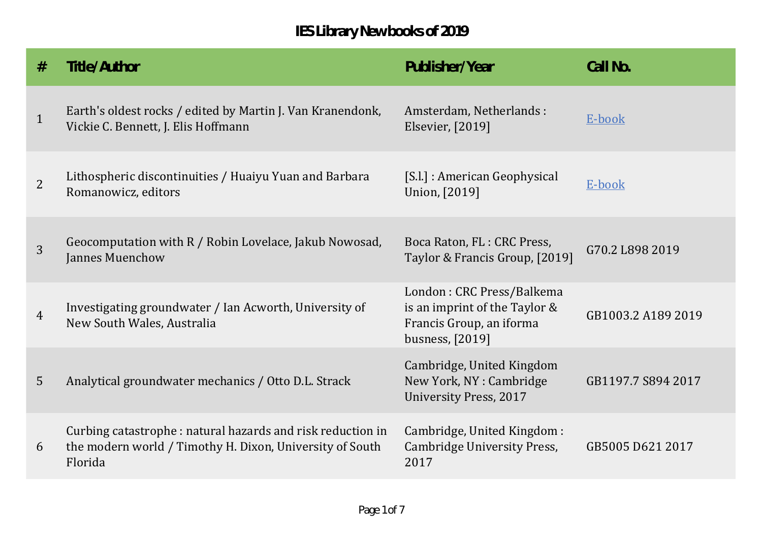| #              | Title/Author                                                                                                                      | Publisher/Year                                                                                            | Call No.           |
|----------------|-----------------------------------------------------------------------------------------------------------------------------------|-----------------------------------------------------------------------------------------------------------|--------------------|
| $\mathbf{1}$   | Earth's oldest rocks / edited by Martin J. Van Kranendonk,<br>Vickie C. Bennett, J. Elis Hoffmann                                 | Amsterdam, Netherlands:<br>Elsevier, [2019]                                                               | E-book             |
| $\overline{2}$ | Lithospheric discontinuities / Huaiyu Yuan and Barbara<br>Romanowicz, editors                                                     | [S.l.] : American Geophysical<br>Union, [2019]                                                            | E-book             |
| 3              | Geocomputation with R / Robin Lovelace, Jakub Nowosad,<br>Jannes Muenchow                                                         | Boca Raton, FL: CRC Press,<br>Taylor & Francis Group, [2019]                                              | G70.2 L898 2019    |
| $\overline{4}$ | Investigating groundwater / Ian Acworth, University of<br>New South Wales, Australia                                              | London: CRC Press/Balkema<br>is an imprint of the Taylor &<br>Francis Group, an iforma<br>busness, [2019] | GB1003.2 A189 2019 |
| 5              | Analytical groundwater mechanics / Otto D.L. Strack                                                                               | Cambridge, United Kingdom<br>New York, NY : Cambridge<br><b>University Press, 2017</b>                    | GB1197.7 S894 2017 |
| 6              | Curbing catastrophe: natural hazards and risk reduction in<br>the modern world / Timothy H. Dixon, University of South<br>Florida | Cambridge, United Kingdom:<br>Cambridge University Press,<br>2017                                         | GB5005 D621 2017   |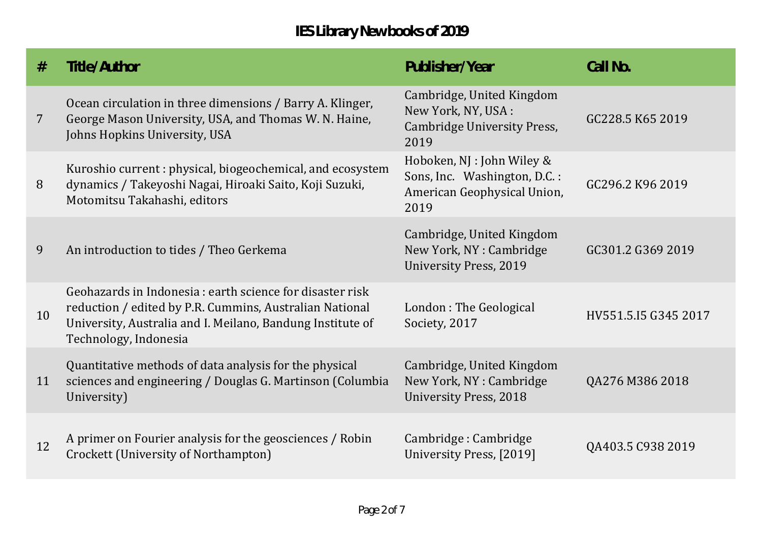| #              | Title/Author                                                                                                                                                                                                | Publisher/Year                                                                                    | Call No.             |
|----------------|-------------------------------------------------------------------------------------------------------------------------------------------------------------------------------------------------------------|---------------------------------------------------------------------------------------------------|----------------------|
| $\overline{7}$ | Ocean circulation in three dimensions / Barry A. Klinger,<br>George Mason University, USA, and Thomas W. N. Haine,<br>Johns Hopkins University, USA                                                         | Cambridge, United Kingdom<br>New York, NY, USA :<br>Cambridge University Press,<br>2019           | GC228.5 K65 2019     |
| 8              | Kuroshio current: physical, biogeochemical, and ecosystem<br>dynamics / Takeyoshi Nagai, Hiroaki Saito, Koji Suzuki,<br>Motomitsu Takahashi, editors                                                        | Hoboken, NJ : John Wiley &<br>Sons, Inc. Washington, D.C.:<br>American Geophysical Union,<br>2019 | GC296.2 K96 2019     |
| 9              | An introduction to tides / Theo Gerkema                                                                                                                                                                     | Cambridge, United Kingdom<br>New York, NY: Cambridge<br><b>University Press, 2019</b>             | GC301.2 G369 2019    |
| 10             | Geohazards in Indonesia : earth science for disaster risk<br>reduction / edited by P.R. Cummins, Australian National<br>University, Australia and I. Meilano, Bandung Institute of<br>Technology, Indonesia | London: The Geological<br>Society, 2017                                                           | HV551.5.15 G345 2017 |
| 11             | Quantitative methods of data analysis for the physical<br>sciences and engineering / Douglas G. Martinson (Columbia<br>University)                                                                          | Cambridge, United Kingdom<br>New York, NY : Cambridge<br><b>University Press, 2018</b>            | QA276 M386 2018      |
| 12             | A primer on Fourier analysis for the geosciences / Robin<br>Crockett (University of Northampton)                                                                                                            | Cambridge: Cambridge<br>University Press, [2019]                                                  | QA403.5 C938 2019    |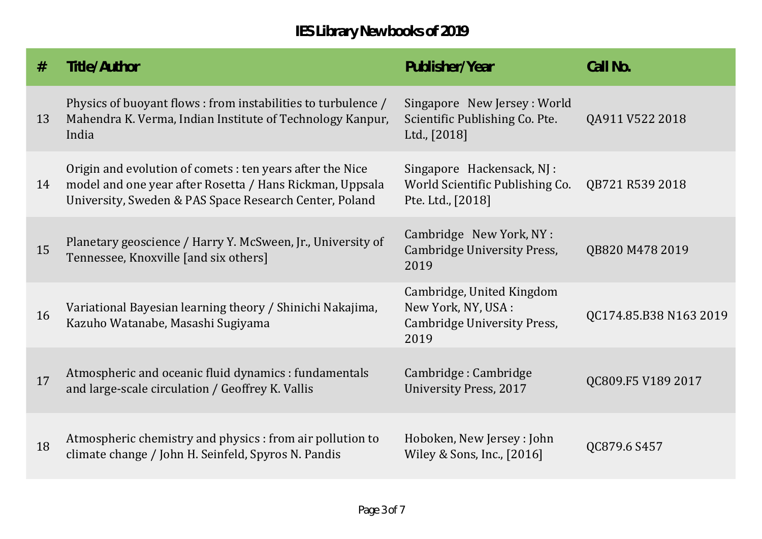| #  | Title/Author                                                                                                                                                                    | Publisher/Year                                                                          | Call No.               |
|----|---------------------------------------------------------------------------------------------------------------------------------------------------------------------------------|-----------------------------------------------------------------------------------------|------------------------|
| 13 | Physics of buoyant flows: from instabilities to turbulence /<br>Mahendra K. Verma, Indian Institute of Technology Kanpur,<br>India                                              | Singapore New Jersey: World<br>Scientific Publishing Co. Pte.<br>Ltd., [2018]           | QA911 V522 2018        |
| 14 | Origin and evolution of comets : ten years after the Nice<br>model and one year after Rosetta / Hans Rickman, Uppsala<br>University, Sweden & PAS Space Research Center, Poland | Singapore Hackensack, NJ :<br>World Scientific Publishing Co.<br>Pte. Ltd., [2018]      | QB721 R539 2018        |
| 15 | Planetary geoscience / Harry Y. McSween, Jr., University of<br>Tennessee, Knoxville [and six others]                                                                            | Cambridge New York, NY :<br>Cambridge University Press,<br>2019                         | QB820 M478 2019        |
| 16 | Variational Bayesian learning theory / Shinichi Nakajima,<br>Kazuho Watanabe, Masashi Sugiyama                                                                                  | Cambridge, United Kingdom<br>New York, NY, USA :<br>Cambridge University Press,<br>2019 | QC174.85.B38 N163 2019 |
| 17 | Atmospheric and oceanic fluid dynamics : fundamentals<br>and large-scale circulation / Geoffrey K. Vallis                                                                       | Cambridge: Cambridge<br><b>University Press, 2017</b>                                   | QC809.F5 V189 2017     |
| 18 | Atmospheric chemistry and physics : from air pollution to<br>climate change / John H. Seinfeld, Spyros N. Pandis                                                                | Hoboken, New Jersey: John<br>Wiley & Sons, Inc., [2016]                                 | QC879.6 S457           |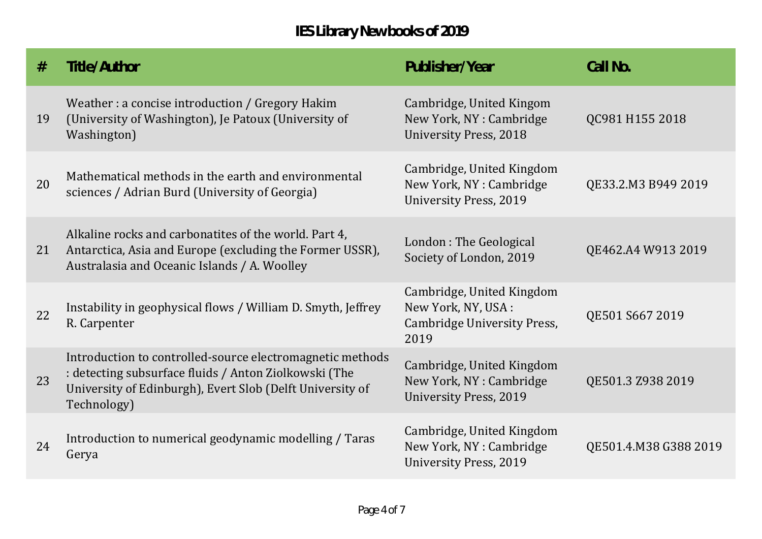| #  | Title/Author                                                                                                                                                                                   | Publisher/Year                                                                          | Call No.              |
|----|------------------------------------------------------------------------------------------------------------------------------------------------------------------------------------------------|-----------------------------------------------------------------------------------------|-----------------------|
| 19 | Weather: a concise introduction / Gregory Hakim<br>(University of Washington), Je Patoux (University of<br>Washington)                                                                         | Cambridge, United Kingom<br>New York, NY : Cambridge<br><b>University Press, 2018</b>   | QC981 H155 2018       |
| 20 | Mathematical methods in the earth and environmental<br>sciences / Adrian Burd (University of Georgia)                                                                                          | Cambridge, United Kingdom<br>New York, NY : Cambridge<br><b>University Press, 2019</b>  | QE33.2.M3 B949 2019   |
| 21 | Alkaline rocks and carbonatites of the world. Part 4,<br>Antarctica, Asia and Europe (excluding the Former USSR),<br>Australasia and Oceanic Islands / A. Woolley                              | London: The Geological<br>Society of London, 2019                                       | QE462.A4 W913 2019    |
| 22 | Instability in geophysical flows / William D. Smyth, Jeffrey<br>R. Carpenter                                                                                                                   | Cambridge, United Kingdom<br>New York, NY, USA :<br>Cambridge University Press,<br>2019 | QE501 S667 2019       |
| 23 | Introduction to controlled-source electromagnetic methods<br>: detecting subsurface fluids / Anton Ziolkowski (The<br>University of Edinburgh), Evert Slob (Delft University of<br>Technology) | Cambridge, United Kingdom<br>New York, NY: Cambridge<br><b>University Press, 2019</b>   | QE501.3 Z938 2019     |
| 24 | Introduction to numerical geodynamic modelling / Taras<br>Gerya                                                                                                                                | Cambridge, United Kingdom<br>New York, NY : Cambridge<br><b>University Press, 2019</b>  | QE501.4.M38 G388 2019 |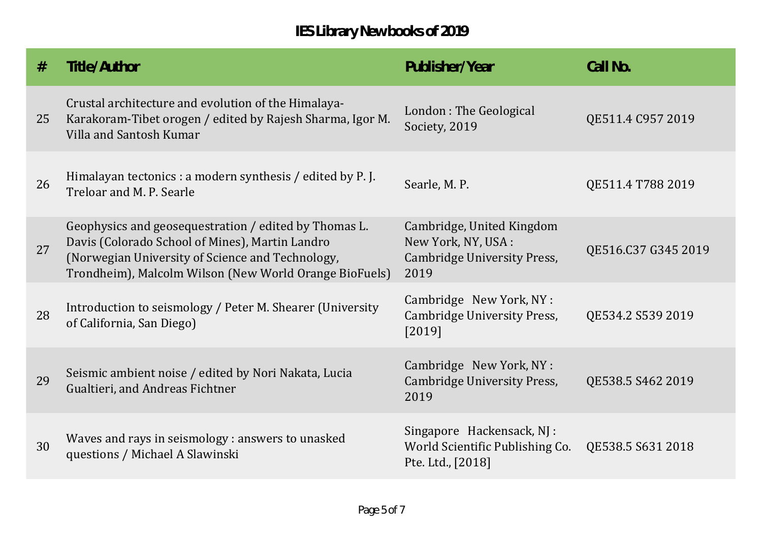| #  | Title/Author                                                                                                                                                                                                           | Publisher/Year                                                                          | Call No.            |
|----|------------------------------------------------------------------------------------------------------------------------------------------------------------------------------------------------------------------------|-----------------------------------------------------------------------------------------|---------------------|
| 25 | Crustal architecture and evolution of the Himalaya-<br>Karakoram-Tibet orogen / edited by Rajesh Sharma, Igor M.<br>Villa and Santosh Kumar                                                                            | London: The Geological<br>Society, 2019                                                 | QE511.4 C957 2019   |
| 26 | Himalayan tectonics : a modern synthesis / edited by P.J.<br>Treloar and M. P. Searle                                                                                                                                  | Searle, M. P.                                                                           | QE511.4 T788 2019   |
| 27 | Geophysics and geosequestration / edited by Thomas L.<br>Davis (Colorado School of Mines), Martin Landro<br>(Norwegian University of Science and Technology,<br>Trondheim), Malcolm Wilson (New World Orange BioFuels) | Cambridge, United Kingdom<br>New York, NY, USA :<br>Cambridge University Press,<br>2019 | QE516.C37 G345 2019 |
| 28 | Introduction to seismology / Peter M. Shearer (University<br>of California, San Diego)                                                                                                                                 | Cambridge New York, NY:<br><b>Cambridge University Press,</b><br>[2019]                 | QE534.2 S539 2019   |
| 29 | Seismic ambient noise / edited by Nori Nakata, Lucia<br>Gualtieri, and Andreas Fichtner                                                                                                                                | Cambridge New York, NY:<br>Cambridge University Press,<br>2019                          | QE538.5 S462 2019   |
| 30 | Waves and rays in seismology : answers to unasked<br>questions / Michael A Slawinski                                                                                                                                   | Singapore Hackensack, NJ :<br>World Scientific Publishing Co.<br>Pte. Ltd., [2018]      | QE538.5 S631 2018   |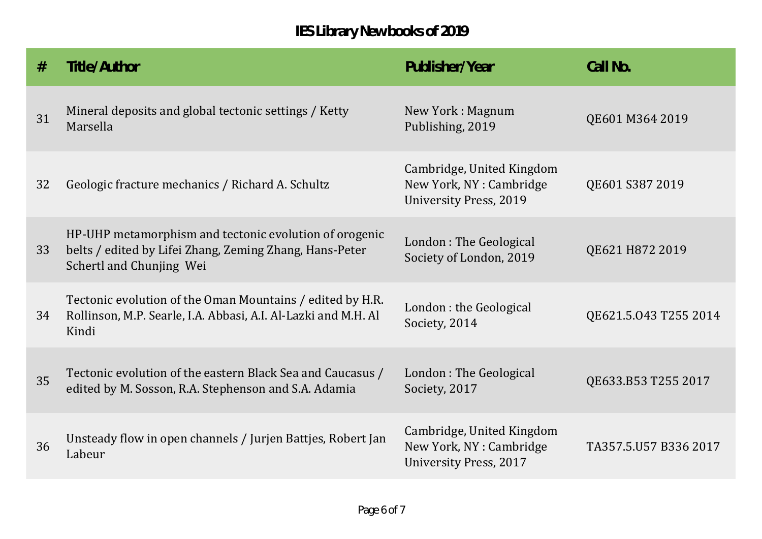| #  | Title/Author                                                                                                                                  | Publisher/Year                                                                         | Call No.              |
|----|-----------------------------------------------------------------------------------------------------------------------------------------------|----------------------------------------------------------------------------------------|-----------------------|
| 31 | Mineral deposits and global tectonic settings / Ketty<br>Marsella                                                                             | New York: Magnum<br>Publishing, 2019                                                   | QE601 M364 2019       |
| 32 | Geologic fracture mechanics / Richard A. Schultz                                                                                              | Cambridge, United Kingdom<br>New York, NY : Cambridge<br><b>University Press, 2019</b> | QE601 S387 2019       |
| 33 | HP-UHP metamorphism and tectonic evolution of orogenic<br>belts / edited by Lifei Zhang, Zeming Zhang, Hans-Peter<br>Schertl and Chunjing Wei | London: The Geological<br>Society of London, 2019                                      | QE621 H872 2019       |
| 34 | Tectonic evolution of the Oman Mountains / edited by H.R.<br>Rollinson, M.P. Searle, I.A. Abbasi, A.I. Al-Lazki and M.H. Al<br>Kindi          | London : the Geological<br>Society, 2014                                               | QE621.5.043 T255 2014 |
| 35 | Tectonic evolution of the eastern Black Sea and Caucasus /<br>edited by M. Sosson, R.A. Stephenson and S.A. Adamia                            | London: The Geological<br>Society, 2017                                                | QE633.B53 T255 2017   |
| 36 | Unsteady flow in open channels / Jurjen Battjes, Robert Jan<br>Labeur                                                                         | Cambridge, United Kingdom<br>New York, NY: Cambridge<br><b>University Press, 2017</b>  | TA357.5.U57 B336 2017 |